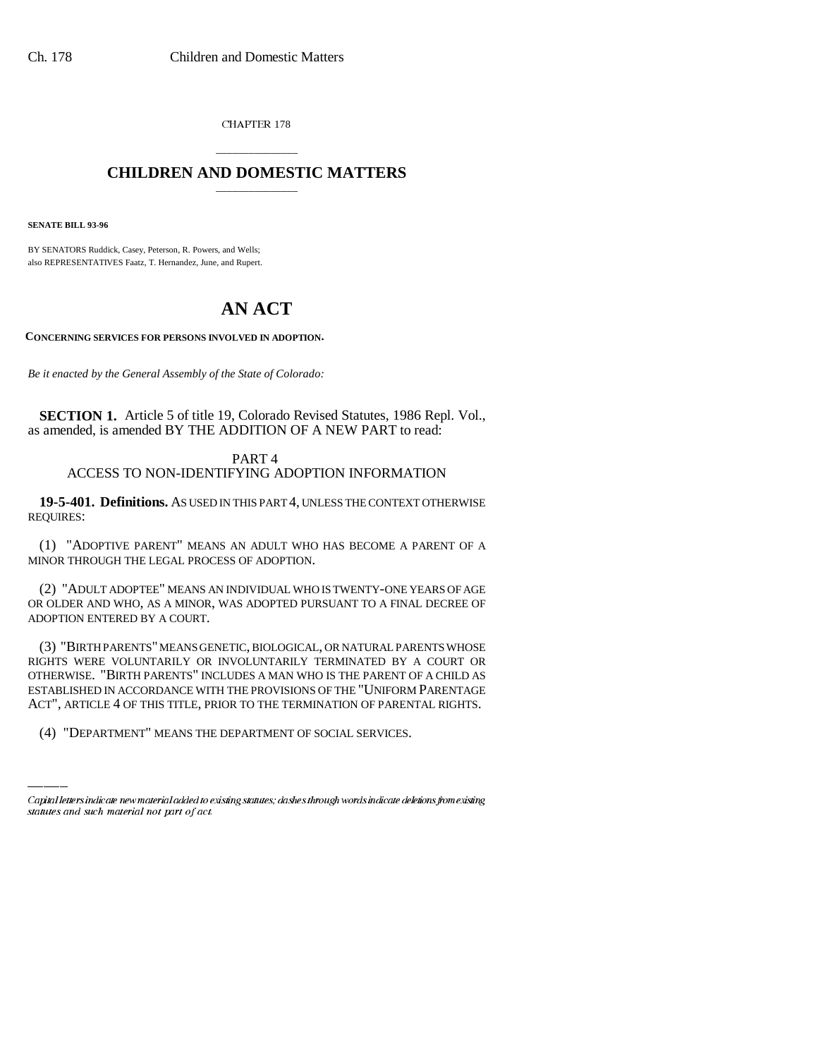CHAPTER 178

## \_\_\_\_\_\_\_\_\_\_\_\_\_\_\_ **CHILDREN AND DOMESTIC MATTERS** \_\_\_\_\_\_\_\_\_\_\_\_\_\_\_

**SENATE BILL 93-96**

BY SENATORS Ruddick, Casey, Peterson, R. Powers, and Wells; also REPRESENTATIVES Faatz, T. Hernandez, June, and Rupert.

## **AN ACT**

**CONCERNING SERVICES FOR PERSONS INVOLVED IN ADOPTION.**

*Be it enacted by the General Assembly of the State of Colorado:*

**SECTION 1.** Article 5 of title 19, Colorado Revised Statutes, 1986 Repl. Vol., as amended, is amended BY THE ADDITION OF A NEW PART to read:

PART 4 ACCESS TO NON-IDENTIFYING ADOPTION INFORMATION

**19-5-401. Definitions.** AS USED IN THIS PART 4, UNLESS THE CONTEXT OTHERWISE REQUIRES:

(1) "ADOPTIVE PARENT" MEANS AN ADULT WHO HAS BECOME A PARENT OF A MINOR THROUGH THE LEGAL PROCESS OF ADOPTION.

(2) "ADULT ADOPTEE" MEANS AN INDIVIDUAL WHO IS TWENTY-ONE YEARS OF AGE OR OLDER AND WHO, AS A MINOR, WAS ADOPTED PURSUANT TO A FINAL DECREE OF ADOPTION ENTERED BY A COURT.

ESTABLISHED IN ACCORDANCE WITH THE PROVISIONS OF THE "UNIFORM PARENTAGE (3) "BIRTH PARENTS" MEANS GENETIC, BIOLOGICAL, OR NATURAL PARENTS WHOSE RIGHTS WERE VOLUNTARILY OR INVOLUNTARILY TERMINATED BY A COURT OR OTHERWISE. "BIRTH PARENTS" INCLUDES A MAN WHO IS THE PARENT OF A CHILD AS ACT", ARTICLE 4 OF THIS TITLE, PRIOR TO THE TERMINATION OF PARENTAL RIGHTS.

(4) "DEPARTMENT" MEANS THE DEPARTMENT OF SOCIAL SERVICES.

Capital letters indicate new material added to existing statutes; dashes through words indicate deletions from existing statutes and such material not part of act.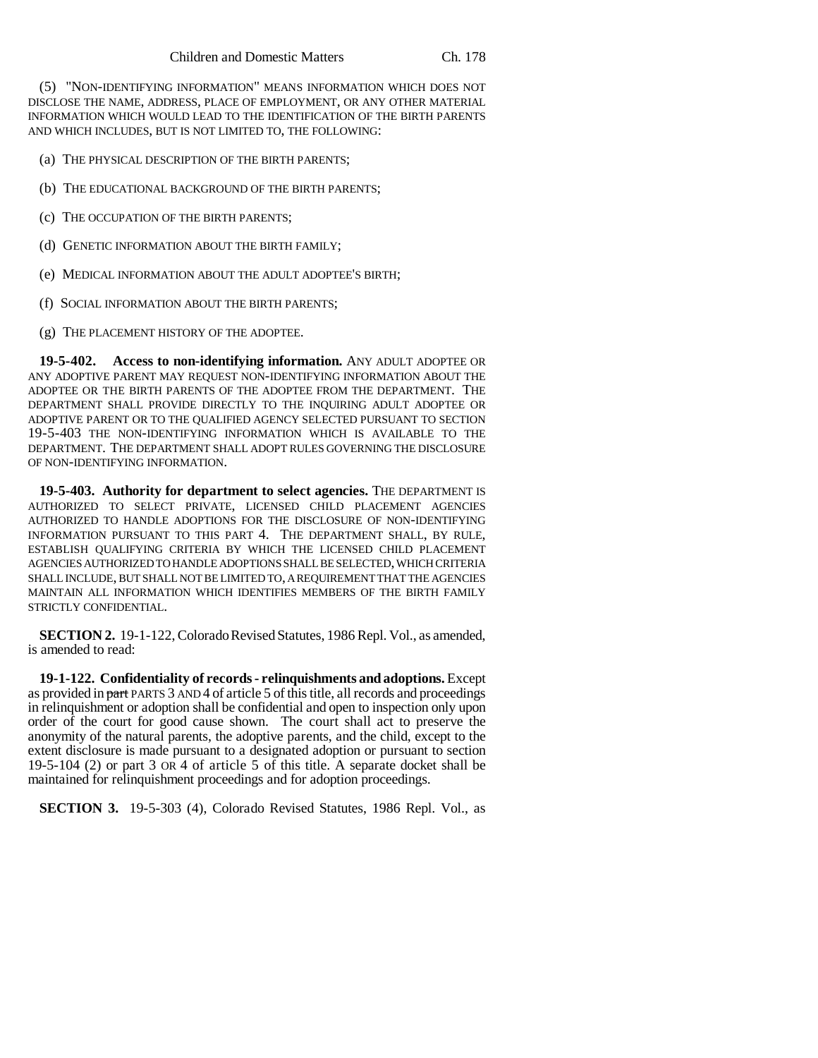(5) "NON-IDENTIFYING INFORMATION" MEANS INFORMATION WHICH DOES NOT DISCLOSE THE NAME, ADDRESS, PLACE OF EMPLOYMENT, OR ANY OTHER MATERIAL INFORMATION WHICH WOULD LEAD TO THE IDENTIFICATION OF THE BIRTH PARENTS AND WHICH INCLUDES, BUT IS NOT LIMITED TO, THE FOLLOWING:

(a) THE PHYSICAL DESCRIPTION OF THE BIRTH PARENTS;

(b) THE EDUCATIONAL BACKGROUND OF THE BIRTH PARENTS;

(c) THE OCCUPATION OF THE BIRTH PARENTS;

(d) GENETIC INFORMATION ABOUT THE BIRTH FAMILY;

- (e) MEDICAL INFORMATION ABOUT THE ADULT ADOPTEE'S BIRTH;
- (f) SOCIAL INFORMATION ABOUT THE BIRTH PARENTS;
- (g) THE PLACEMENT HISTORY OF THE ADOPTEE.

**19-5-402. Access to non-identifying information.** ANY ADULT ADOPTEE OR ANY ADOPTIVE PARENT MAY REQUEST NON-IDENTIFYING INFORMATION ABOUT THE ADOPTEE OR THE BIRTH PARENTS OF THE ADOPTEE FROM THE DEPARTMENT. THE DEPARTMENT SHALL PROVIDE DIRECTLY TO THE INQUIRING ADULT ADOPTEE OR ADOPTIVE PARENT OR TO THE QUALIFIED AGENCY SELECTED PURSUANT TO SECTION 19-5-403 THE NON-IDENTIFYING INFORMATION WHICH IS AVAILABLE TO THE DEPARTMENT. THE DEPARTMENT SHALL ADOPT RULES GOVERNING THE DISCLOSURE OF NON-IDENTIFYING INFORMATION.

**19-5-403. Authority for department to select agencies.** THE DEPARTMENT IS AUTHORIZED TO SELECT PRIVATE, LICENSED CHILD PLACEMENT AGENCIES AUTHORIZED TO HANDLE ADOPTIONS FOR THE DISCLOSURE OF NON-IDENTIFYING INFORMATION PURSUANT TO THIS PART 4. THE DEPARTMENT SHALL, BY RULE, ESTABLISH QUALIFYING CRITERIA BY WHICH THE LICENSED CHILD PLACEMENT AGENCIES AUTHORIZED TO HANDLE ADOPTIONS SHALL BE SELECTED, WHICH CRITERIA SHALL INCLUDE, BUT SHALL NOT BE LIMITED TO, A REQUIREMENT THAT THE AGENCIES MAINTAIN ALL INFORMATION WHICH IDENTIFIES MEMBERS OF THE BIRTH FAMILY STRICTLY CONFIDENTIAL.

**SECTION 2.** 19-1-122, Colorado Revised Statutes, 1986 Repl. Vol., as amended, is amended to read:

**19-1-122. Confidentiality of records - relinquishments and adoptions.** Except as provided in part PARTS 3 AND 4 of article 5 of this title, all records and proceedings in relinquishment or adoption shall be confidential and open to inspection only upon order of the court for good cause shown. The court shall act to preserve the anonymity of the natural parents, the adoptive parents, and the child, except to the extent disclosure is made pursuant to a designated adoption or pursuant to section 19-5-104 (2) or part 3 OR 4 of article 5 of this title. A separate docket shall be maintained for relinquishment proceedings and for adoption proceedings.

**SECTION 3.** 19-5-303 (4), Colorado Revised Statutes, 1986 Repl. Vol., as